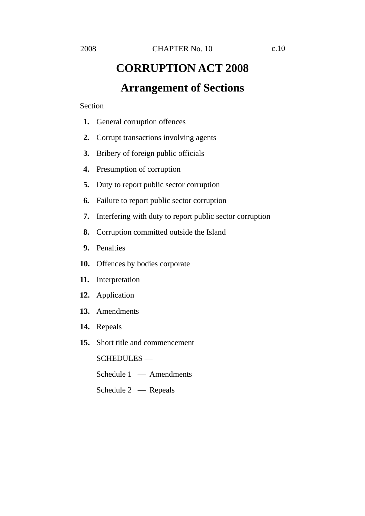Section

- **1.** General corruption offences
- **2.** Corrupt transactions involving agents
- **3.** Bribery of foreign public officials
- **4.** Presumption of corruption
- **5.** Duty to report public sector corruption
- **6.** Failure to report public sector corruption
- **7.** Interfering with duty to report public sector corruption
- **8.** Corruption committed outside the Island
- **9.** Penalties
- **10.** Offences by bodies corporate
- **11.** Interpretation
- **12.** Application
- **13.** Amendments
- **14.** Repeals
- **15.** Short title and commencement

SCHEDULES —

Schedule 1 — Amendments

Schedule 2 — Repeals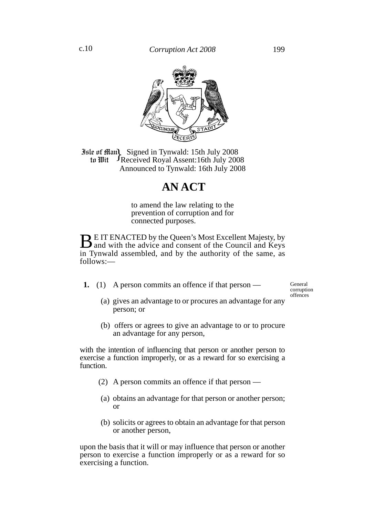

**Jule of Ham Signed in Tynwald: 15th July 2008**<br>**16th July 2008**<br>2008 to March 19th July 2008 Received Royal Assent:16th July 2008 Announced to Tynwald: 16th July 2008 to Wit

# **AN ACT**

to amend the law relating to the prevention of corruption and for connected purposes.

**BE IT ENACTED by the Queen's Most Excellent Majesty, by** and with the advice and consent of the Council and Keys in Tynwald assembled, and by the authority of the same, as follows:—

**1.** (1) A person commits an offence if that person —

General corruption offences

- (a) gives an advantage to or procures an advantage for any person; or
- (b) offers or agrees to give an advantage to or to procure an advantage for any person,

with the intention of influencing that person or another person to exercise a function improperly, or as a reward for so exercising a function.

- (2) A person commits an offence if that person —
- (a) obtains an advantage for that person or another person; or
- (b) solicits or agrees to obtain an advantage for that person or another person,

upon the basis that it will or may influence that person or another person to exercise a function improperly or as a reward for so exercising a function.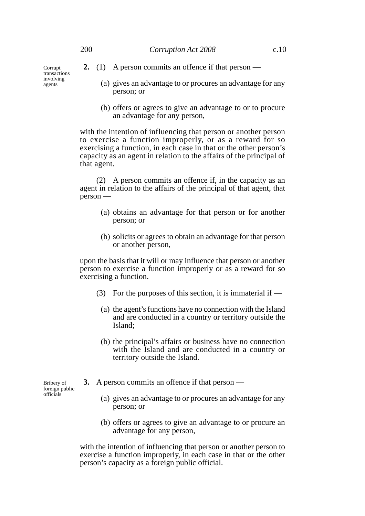Corrupt transactions involving agents

- **2.** (1) A person commits an offence if that person
	- (a) gives an advantage to or procures an advantage for any person; or
	- (b) offers or agrees to give an advantage to or to procure an advantage for any person,

with the intention of influencing that person or another person to exercise a function improperly, or as a reward for so exercising a function, in each case in that or the other person's capacity as an agent in relation to the affairs of the principal of that agent.

(2) A person commits an offence if, in the capacity as an agent in relation to the affairs of the principal of that agent, that person —

- (a) obtains an advantage for that person or for another person; or
- (b) solicits or agrees to obtain an advantage for that person or another person,

upon the basis that it will or may influence that person or another person to exercise a function improperly or as a reward for so exercising a function.

- (3) For the purposes of this section, it is immaterial if  $-$ 
	- (a) the agent's functions have no connection with the Island and are conducted in a country or territory outside the Island;
	- (b) the principal's affairs or business have no connection with the Island and are conducted in a country or territory outside the Island.

Bribery of foreign public officials

- **3.** A person commits an offence if that person
	- (a) gives an advantage to or procures an advantage for any person; or
	- (b) offers or agrees to give an advantage to or procure an advantage for any person,

with the intention of influencing that person or another person to exercise a function improperly, in each case in that or the other person's capacity as a foreign public official.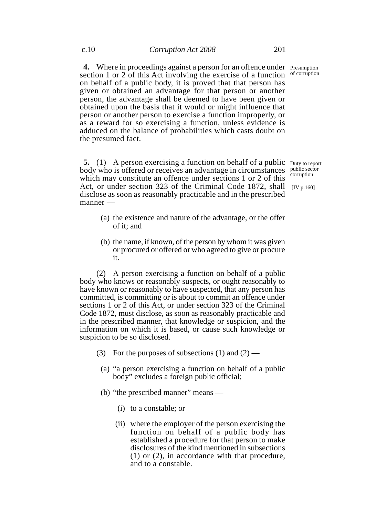4. Where in proceedings against a person for an offence under Presumption section 1 or 2 of this Act involving the exercise of a function on behalf of a public body, it is proved that that person has given or obtained an advantage for that person or another person, the advantage shall be deemed to have been given or

obtained upon the basis that it would or might influence that person or another person to exercise a function improperly, or as a reward for so exercising a function, unless evidence is adduced on the balance of probabilities which casts doubt on the presumed fact.

**5.** (1) A person exercising a function on behalf of a public body who is offered or receives an advantage in circumstances which may constitute an offence under sections 1 or 2 of this Act, or under section 323 of the Criminal Code 1872, shall disclose as soon as reasonably practicable and in the prescribed manner —

Duty to report public sector corruption

of corruption

[IV p.160]

- (a) the existence and nature of the advantage, or the offer of it; and
- (b) the name, if known, of the person by whom it was given or procured or offered or who agreed to give or procure it.

(2) A person exercising a function on behalf of a public body who knows or reasonably suspects, or ought reasonably to have known or reasonably to have suspected, that any person has committed, is committing or is about to commit an offence under sections 1 or 2 of this Act, or under section 323 of the Criminal Code 1872, must disclose, as soon as reasonably practicable and in the prescribed manner, that knowledge or suspicion, and the information on which it is based, or cause such knowledge or suspicion to be so disclosed.

- (3) For the purposes of subsections (1) and  $(2)$ 
	- (a) "a person exercising a function on behalf of a public body" excludes a foreign public official;
	- (b) "the prescribed manner" means
		- (i) to a constable; or
		- (ii) where the employer of the person exercising the function on behalf of a public body has established a procedure for that person to make disclosures of the kind mentioned in subsections (1) or (2), in accordance with that procedure, and to a constable.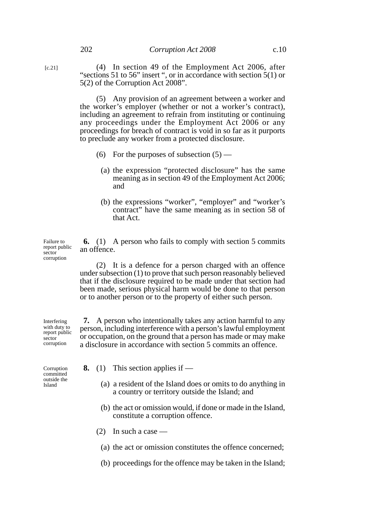(4) In section 49 of the Employment Act 2006, after "sections 51 to 56" insert ", or in accordance with section  $5(1)$  or 5(2) of the Corruption Act 2008".

(5) Any provision of an agreement between a worker and the worker's employer (whether or not a worker's contract), including an agreement to refrain from instituting or continuing any proceedings under the Employment Act 2006 or any proceedings for breach of contract is void in so far as it purports to preclude any worker from a protected disclosure.

- (6) For the purposes of subsection  $(5)$ 
	- (a) the expression "protected disclosure" has the same meaning as in section 49 of the Employment Act 2006; and
	- (b) the expressions "worker", "employer" and "worker's contract" have the same meaning as in section 58 of that Act.

**6.** (1) A person who fails to comply with section 5 commits an offence.

(2) It is a defence for a person charged with an offence under subsection (1) to prove that such person reasonably believed that if the disclosure required to be made under that section had been made, serious physical harm would be done to that person or to another person or to the property of either such person.

**7.** A person who intentionally takes any action harmful to any person, including interference with a person's lawful employment or occupation, on the ground that a person has made or may make a disclosure in accordance with section 5 commits an offence.

**Corruption** committed outside the Island

Interfering with duty to report public sector corruption

- **8.** (1) This section applies if
	- (a) a resident of the Island does or omits to do anything in a country or territory outside the Island; and
	- (b) the act or omission would, if done or made in the Island, constitute a corruption offence.
	- (2) In such a case
		- (a) the act or omission constitutes the offence concerned;
		- (b) proceedings for the offence may be taken in the Island;

Failure to report public sector corruption

 $[c.21]$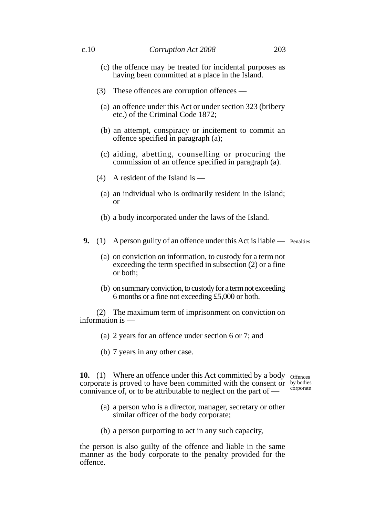- (c) the offence may be treated for incidental purposes as having been committed at a place in the Island.
- (3) These offences are corruption offences
	- (a) an offence under this Act or under section 323 (bribery etc.) of the Criminal Code 1872;
	- (b) an attempt, conspiracy or incitement to commit an offence specified in paragraph (a);
	- (c) aiding, abetting, counselling or procuring the commission of an offence specified in paragraph (a).
- (4) A resident of the Island is
	- (a) an individual who is ordinarily resident in the Island; or
	- (b) a body incorporated under the laws of the Island.
- **9.** (1) A person guilty of an offence under this Act is liable Penalties
	- (a) on conviction on information, to custody for a term not exceeding the term specified in subsection (2) or a fine or both;
	- (b) on summary conviction, to custody for a term not exceeding 6 months or a fine not exceeding £5,000 or both.

(2) The maximum term of imprisonment on conviction on information is —

- (a) 2 years for an offence under section 6 or 7; and
- (b) 7 years in any other case.

**10.** (1) Where an offence under this Act committed by a body offences corporate is proved to have been committed with the consent or by bodies connivance of, or to be attributable to neglect on the part of corporate

- (a) a person who is a director, manager, secretary or other similar officer of the body corporate;
- (b) a person purporting to act in any such capacity,

the person is also guilty of the offence and liable in the same manner as the body corporate to the penalty provided for the offence.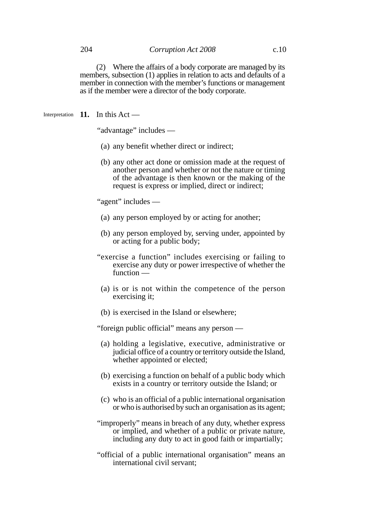(2) Where the affairs of a body corporate are managed by its members, subsection (1) applies in relation to acts and defaults of a member in connection with the member's functions or management as if the member were a director of the body corporate.

Interpretation 11. In this Act —

"advantage" includes —

- (a) any benefit whether direct or indirect;
- (b) any other act done or omission made at the request of another person and whether or not the nature or timing of the advantage is then known or the making of the request is express or implied, direct or indirect;

"agent" includes —

- (a) any person employed by or acting for another;
- (b) any person employed by, serving under, appointed by or acting for a public body;
- "exercise a function" includes exercising or failing to exercise any duty or power irrespective of whether the function —
- (a) is or is not within the competence of the person exercising it;
- (b) is exercised in the Island or elsewhere;

"foreign public official" means any person —

- (a) holding a legislative, executive, administrative or judicial office of a country or territory outside the Island, whether appointed or elected;
- (b) exercising a function on behalf of a public body which exists in a country or territory outside the Island; or
- (c) who is an official of a public international organisation or who is authorised by such an organisation as its agent;
- "improperly" means in breach of any duty, whether express or implied, and whether of a public or private nature, including any duty to act in good faith or impartially;
- "official of a public international organisation" means an international civil servant;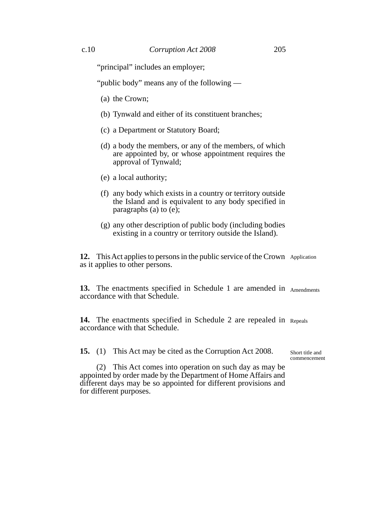"principal" includes an employer;

"public body" means any of the following —

- (a) the Crown;
- (b) Tynwald and either of its constituent branches;
- (c) a Department or Statutory Board;
- (d) a body the members, or any of the members, of which are appointed by, or whose appointment requires the approval of Tynwald;
- (e) a local authority;
- (f) any body which exists in a country or territory outside the Island and is equivalent to any body specified in paragraphs (a) to  $(e)$ ;
- (g) any other description of public body (including bodies existing in a country or territory outside the Island).

12. This Act applies to persons in the public service of the Crown Application as it applies to other persons.

13. The enactments specified in Schedule 1 are amended in Amendments accordance with that Schedule.

14. The enactments specified in Schedule 2 are repealed in Repeals accordance with that Schedule.

**15.** (1) This Act may be cited as the Corruption Act 2008.

Short title and commencement

(2) This Act comes into operation on such day as may be appointed by order made by the Department of Home Affairs and different days may be so appointed for different provisions and for different purposes.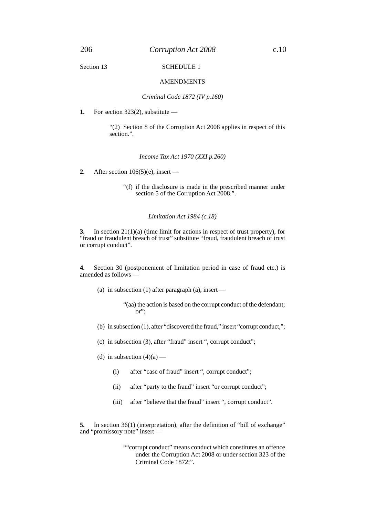#### Section 13 SCHEDULE 1

#### AMENDMENTS

*Criminal Code 1872 (IV p.160)*

**1.** For section 323(2), substitute —

"(2) Section 8 of the Corruption Act 2008 applies in respect of this section.".

*Income Tax Act 1970 (XXI p.260)*

**2.** After section 106(5)(e), insert —

"(f) if the disclosure is made in the prescribed manner under section 5 of the Corruption Act 2008.".

#### *Limitation Act 1984 (c.18)*

**3.** In section 21(1)(a) (time limit for actions in respect of trust property), for "fraud or fraudulent breach of trust" substitute "fraud, fraudulent breach of trust or corrupt conduct".

**4.** Section 30 (postponement of limitation period in case of fraud etc.) is amended as follows —

- (a) in subsection (1) after paragraph (a), insert
	- "(aa) the action is based on the corrupt conduct of the defendant; or";
- (b) in subsection (1), after "discovered the fraud," insert "corrupt conduct,";
- (c) in subsection (3), after "fraud" insert ", corrupt conduct";
- (d) in subsection  $(4)(a)$ 
	- (i) after "case of fraud" insert ", corrupt conduct";
	- (ii) after "party to the fraud" insert "or corrupt conduct";
	- (iii) after "believe that the fraud" insert ", corrupt conduct".

**5.** In section 36(1) (interpretation), after the definition of "bill of exchange" and "promissory note" insert —

> ""corrupt conduct" means conduct which constitutes an offence under the Corruption Act 2008 or under section 323 of the Criminal Code 1872;".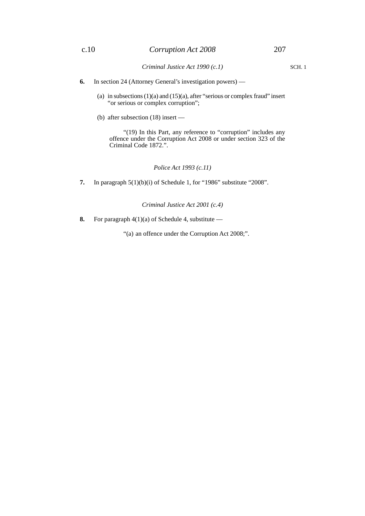*Criminal Justice Act 1990 (c.1)* SCH. 1

- **6.** In section 24 (Attorney General's investigation powers)
	- (a) in subsections  $(1)(a)$  and  $(15)(a)$ , after "serious or complex fraud" insert "or serious or complex corruption";
	- (b) after subsection (18) insert —

"(19) In this Part, any reference to "corruption" includes any offence under the Corruption Act 2008 or under section 323 of the Criminal Code 1872.".

### *Police Act 1993 (c.11)*

**7.** In paragraph 5(1)(b)(i) of Schedule 1, for "1986" substitute "2008".

#### *Criminal Justice Act 2001 (c.4)*

**8.** For paragraph 4(1)(a) of Schedule 4, substitute —

"(a) an offence under the Corruption Act 2008;".